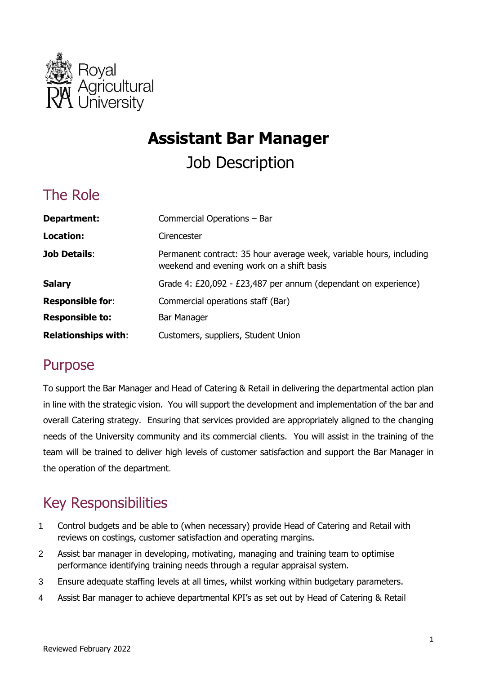

# **Assistant Bar Manager**

Job Description

## The Role

| Department:                | Commercial Operations - Bar                                                                                      |
|----------------------------|------------------------------------------------------------------------------------------------------------------|
| Location:                  | Cirencester                                                                                                      |
| <b>Job Details:</b>        | Permanent contract: 35 hour average week, variable hours, including<br>weekend and evening work on a shift basis |
| <b>Salary</b>              | Grade 4: £20,092 - £23,487 per annum (dependant on experience)                                                   |
| <b>Responsible for:</b>    | Commercial operations staff (Bar)                                                                                |
| <b>Responsible to:</b>     | Bar Manager                                                                                                      |
| <b>Relationships with:</b> | Customers, suppliers, Student Union                                                                              |

## Purpose

 To support the Bar Manager and Head of Catering & Retail in delivering the departmental action plan in line with the strategic vision. You will support the development and implementation of the bar and overall Catering strategy. Ensuring that services provided are appropriately aligned to the changing needs of the University community and its commercial clients. You will assist in the training of the team will be trained to deliver high levels of customer satisfaction and support the Bar Manager in the operation of the department.

## Key Responsibilities

- 1 Control budgets and be able to (when necessary) provide Head of Catering and Retail with reviews on costings, customer satisfaction and operating margins.
- 2 Assist bar manager in developing, motivating, managing and training team to optimise performance identifying training needs through a regular appraisal system.
- 3 Ensure adequate staffing levels at all times, whilst working within budgetary parameters.
- 4 Assist Bar manager to achieve departmental KPI's as set out by Head of Catering & Retail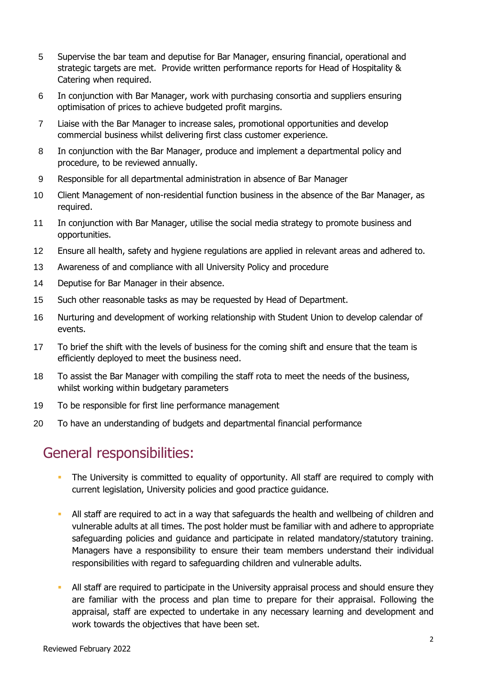- 5 Supervise the bar team and deputise for Bar Manager, ensuring financial, operational and strategic targets are met. Provide written performance reports for Head of Hospitality & Catering when required.
- 6 In conjunction with Bar Manager, work with purchasing consortia and suppliers ensuring optimisation of prices to achieve budgeted profit margins.
- 7 Liaise with the Bar Manager to increase sales, promotional opportunities and develop commercial business whilst delivering first class customer experience.
- 8 In conjunction with the Bar Manager, produce and implement a departmental policy and procedure, to be reviewed annually.
- 9 Responsible for all departmental administration in absence of Bar Manager
- 10 Client Management of non-residential function business in the absence of the Bar Manager, as required.
- 11 In conjunction with Bar Manager, utilise the social media strategy to promote business and opportunities.
- 12 Ensure all health, safety and hygiene regulations are applied in relevant areas and adhered to.
- 13 Awareness of and compliance with all University Policy and procedure
- 14 Deputise for Bar Manager in their absence.
- 15 Such other reasonable tasks as may be requested by Head of Department.
- 16 Nurturing and development of working relationship with Student Union to develop calendar of events.
- 17 To brief the shift with the levels of business for the coming shift and ensure that the team is efficiently deployed to meet the business need.
- 18 To assist the Bar Manager with compiling the staff rota to meet the needs of the business, whilst working within budgetary parameters
- 19 To be responsible for first line performance management
- 20 To have an understanding of budgets and departmental financial performance

## General responsibilities:

- **The University is committed to equality of opportunity. All staff are required to comply with** current legislation, University policies and good practice guidance.
- All staff are required to act in a way that safeguards the health and wellbeing of children and vulnerable adults at all times. The post holder must be familiar with and adhere to appropriate safeguarding policies and guidance and participate in related mandatory/statutory training. Managers have a responsibility to ensure their team members understand their individual responsibilities with regard to safeguarding children and vulnerable adults.
- All staff are required to participate in the University appraisal process and should ensure they are familiar with the process and plan time to prepare for their appraisal. Following the appraisal, staff are expected to undertake in any necessary learning and development and work towards the objectives that have been set.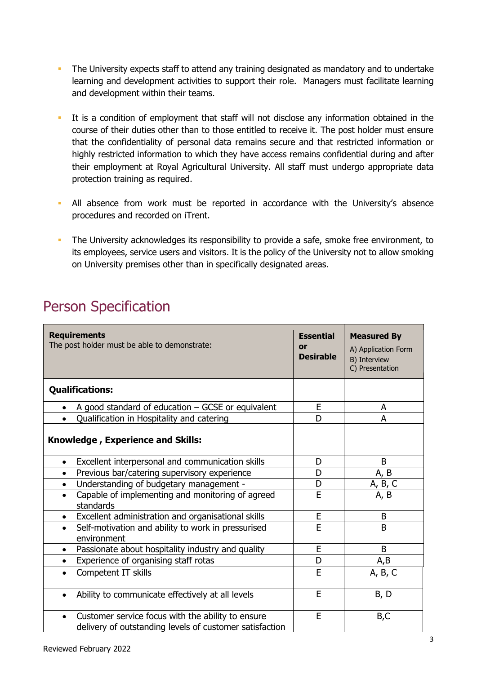- The University expects staff to attend any training designated as mandatory and to undertake learning and development activities to support their role. Managers must facilitate learning and development within their teams.
- It is a condition of employment that staff will not disclose any information obtained in the course of their duties other than to those entitled to receive it. The post holder must ensure highly restricted information to which they have access remains confidential during and after their employment at Royal Agricultural University. All staff must undergo appropriate data that the confidentiality of personal data remains secure and that restricted information or protection training as required.
- All absence from work must be reported in accordance with the University's absence procedures and recorded on iTrent.
- The University acknowledges its responsibility to provide a safe, smoke free environment, to its employees, service users and visitors. It is the policy of the University not to allow smoking on University premises other than in specifically designated areas.

## Person Specification

| <b>Requirements</b><br>The post holder must be able to demonstrate:                                          | <b>Essential</b><br><b>or</b><br><b>Desirable</b> | <b>Measured By</b><br>A) Application Form<br>B) Interview<br>C) Presentation |
|--------------------------------------------------------------------------------------------------------------|---------------------------------------------------|------------------------------------------------------------------------------|
| <b>Qualifications:</b>                                                                                       |                                                   |                                                                              |
| A good standard of education - GCSE or equivalent                                                            | E                                                 | A                                                                            |
| Qualification in Hospitality and catering<br>$\bullet$                                                       | D                                                 | A                                                                            |
| <b>Knowledge, Experience and Skills:</b>                                                                     |                                                   |                                                                              |
| Excellent interpersonal and communication skills<br>$\bullet$                                                | D                                                 | B                                                                            |
| Previous bar/catering supervisory experience<br>$\bullet$                                                    | D                                                 | A, B                                                                         |
| Understanding of budgetary management -<br>$\bullet$                                                         | D                                                 | A, B, C                                                                      |
| Capable of implementing and monitoring of agreed<br>$\bullet$<br>standards                                   | E                                                 | A, B                                                                         |
| Excellent administration and organisational skills<br>$\bullet$                                              | E                                                 | B                                                                            |
| Self-motivation and ability to work in pressurised<br>$\bullet$<br>environment                               | E                                                 | B                                                                            |
| Passionate about hospitality industry and quality<br>$\bullet$                                               | E                                                 | B                                                                            |
| Experience of organising staff rotas<br>$\bullet$                                                            | D                                                 | A,B                                                                          |
| Competent IT skills<br>$\bullet$                                                                             | E                                                 | A, B, C                                                                      |
| Ability to communicate effectively at all levels<br>$\bullet$                                                | E                                                 | B, D                                                                         |
| Customer service focus with the ability to ensure<br>delivery of outstanding levels of customer satisfaction | E                                                 | B,C                                                                          |